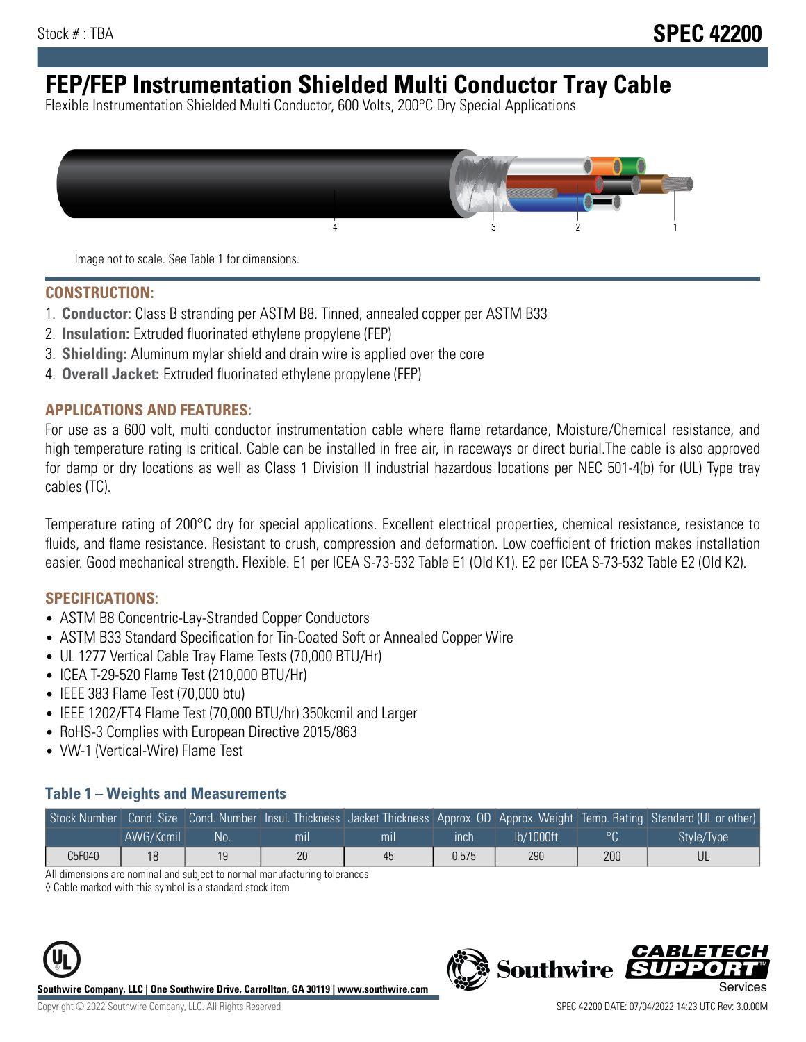# **FEP/FEP Instrumentation Shielded Multi Conductor Tray Cable**

Flexible Instrumentation Shielded Multi Conductor, 600 Volts, 200°C Dry Special Applications



Image not to scale. See Table 1 for dimensions.

#### **CONSTRUCTION:**

- 1. **Conductor:** Class B stranding per ASTM B8. Tinned, annealed copper per ASTM B33
- 2. **Insulation:** Extruded fluorinated ethylene propylene (FEP)
- 3. **Shielding:** Aluminum mylar shield and drain wire is applied over the core
- 4. **Overall Jacket:** Extruded fluorinated ethylene propylene (FEP)

#### **APPLICATIONS AND FEATURES:**

For use as a 600 volt, multi conductor instrumentation cable where flame retardance, Moisture/Chemical resistance, and high temperature rating is critical. Cable can be installed in free air, in raceways or direct burial.The cable is also approved for damp or dry locations as well as Class 1 Division II industrial hazardous locations per NEC 501-4(b) for (UL) Type tray cables (TC).

Temperature rating of 200°C dry for special applications. Excellent electrical properties, chemical resistance, resistance to fluids, and flame resistance. Resistant to crush, compression and deformation. Low coefficient of friction makes installation easier. Good mechanical strength. Flexible. E1 per ICEA S-73-532 Table E1 (Old K1). E2 per ICEA S-73-532 Table E2 (Old K2).

#### **SPECIFICATIONS:**

- ASTM B8 Concentric-Lay-Stranded Copper Conductors
- ASTM B33 Standard Specification for Tin-Coated Soft or Annealed Copper Wire
- UL 1277 Vertical Cable Tray Flame Tests (70,000 BTU/Hr)
- ICEA T-29-520 Flame Test (210,000 BTU/Hr)
- IEEE 383 Flame Test (70,000 btu)
- IEEE 1202/FT4 Flame Test (70,000 BTU/hr) 350kcmil and Larger
- RoHS-3 Complies with European Directive 2015/863
- VW-1 (Vertical-Wire) Flame Test

#### **Table 1 – Weights and Measurements**

|        |           |    |                |     |       |           |     | Stock Number Cond. Size Cond. Number Insul. Thickness Jacket Thickness Approx. OD Approx. Weight Temp. Rating Standard (UL or other) |
|--------|-----------|----|----------------|-----|-------|-----------|-----|--------------------------------------------------------------------------------------------------------------------------------------|
|        | AWG/Kcmil | No | m <sub>l</sub> | mıl | inch  | Ib/1000ft |     | Style/Type                                                                                                                           |
| C5F040 | 18        | 19 | 20             | 45  | 0.575 | 290       | 200 |                                                                                                                                      |

All dimensions are nominal and subject to normal manufacturing tolerances

◊ Cable marked with this symbol is a standard stock item